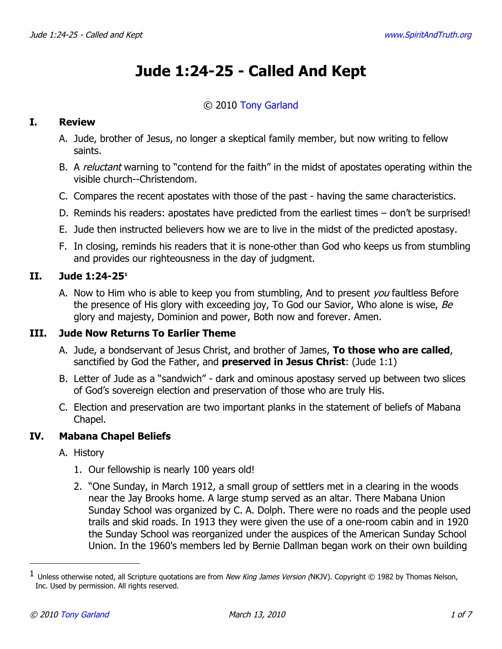# **Jude 1:24-25 - Called And Kept**

# © 2010 [Tony Garland](http://www.spiritandtruth.org/id/tg.htm)

## **I. Review**

- A. Jude, brother of Jesus, no longer a skeptical family member, but now writing to fellow saints.
- B. A *reluctant* warning to "contend for the faith" in the midst of apostates operating within the visible church--Christendom.
- C. Compares the recent apostates with those of the past having the same characteristics.
- D. Reminds his readers: apostates have predicted from the earliest times don't be surprised!
- E. Jude then instructed believers how we are to live in the midst of the predicted apostasy.
- F. In closing, reminds his readers that it is none-other than God who keeps us from stumbling and provides our righteousness in the day of judgment.

#### **II. Jude 1:24-25[1](#page-0-0)**

A. Now to Him who is able to keep you from stumbling, And to present you faultless Before the presence of His glory with exceeding joy, To God our Savior, Who alone is wise,  $Be$ glory and majesty, Dominion and power, Both now and forever. Amen.

## **III. Jude Now Returns To Earlier Theme**

- A. Jude, a bondservant of Jesus Christ, and brother of James, **To those who are called**, sanctified by God the Father, and **preserved in Jesus Christ**: (Jude 1:1)
- B. Letter of Jude as a "sandwich" dark and ominous apostasy served up between two slices of God's sovereign election and preservation of those who are truly His.
- C. Election and preservation are two important planks in the statement of beliefs of Mabana Chapel.

#### **IV. Mabana Chapel Beliefs**

- A. History
	- 1. Our fellowship is nearly 100 years old!
	- 2. "One Sunday, in March 1912, a small group of settlers met in a clearing in the woods near the Jay Brooks home. A large stump served as an altar. There Mabana Union Sunday School was organized by C. A. Dolph. There were no roads and the people used trails and skid roads. In 1913 they were given the use of a one-room cabin and in 1920 the Sunday School was reorganized under the auspices of the American Sunday School Union. In the 1960's members led by Bernie Dallman began work on their own building

<span id="page-0-0"></span> $^1$  Unless otherwise noted, all Scripture quotations are from *New King James Version (*NKJV). Copyright © 1982 by Thomas Nelson, Inc. Used by permission. All rights reserved.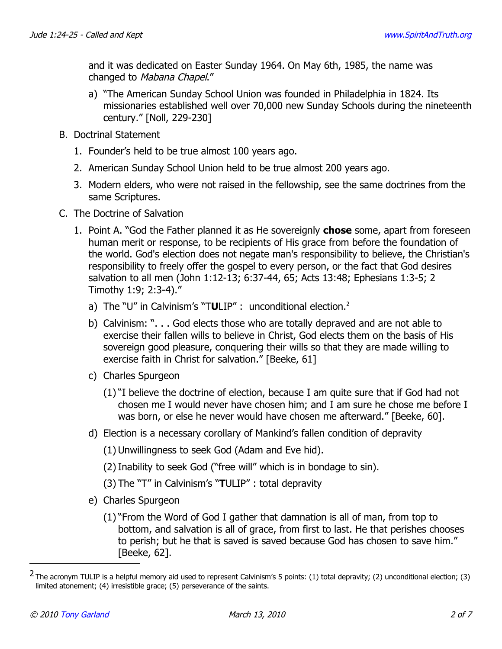and it was dedicated on Easter Sunday 1964. On May 6th, 1985, the name was changed to Mabana Chapel."

- a) "The American Sunday School Union was founded in Philadelphia in 1824. Its missionaries established well over 70,000 new Sunday Schools during the nineteenth century." [Noll, 229-230]
- B. Doctrinal Statement
	- 1. Founder's held to be true almost 100 years ago.
	- 2. American Sunday School Union held to be true almost 200 years ago.
	- 3. Modern elders, who were not raised in the fellowship, see the same doctrines from the same Scriptures.
- C. The Doctrine of Salvation
	- 1. Point A. "God the Father planned it as He sovereignly **chose** some, apart from foreseen human merit or response, to be recipients of His grace from before the foundation of the world. God's election does not negate man's responsibility to believe, the Christian's responsibility to freely offer the gospel to every person, or the fact that God desires salvation to all men (John 1:12-13; 6:37-44, 65; Acts 13:48; Ephesians 1:3-5; 2 Timothy 1:9; 2:3-4)."
		- a) The "U" in Calvinism's "T**U**LIP" : unconditional election.<sup>[2](#page-1-0)</sup>
		- b) Calvinism: ". . . God elects those who are totally depraved and are not able to exercise their fallen wills to believe in Christ, God elects them on the basis of His sovereign good pleasure, conquering their wills so that they are made willing to exercise faith in Christ for salvation." [Beeke, 61]
		- c) Charles Spurgeon
			- (1) "I believe the doctrine of election, because I am quite sure that if God had not chosen me I would never have chosen him; and I am sure he chose me before I was born, or else he never would have chosen me afterward." [Beeke, 60].
		- d) Election is a necessary corollary of Mankind's fallen condition of depravity
			- (1) Unwillingness to seek God (Adam and Eve hid).
			- (2) Inability to seek God ("free will" which is in bondage to sin).
			- (3) The "T" in Calvinism's "**T**ULIP" : total depravity
		- e) Charles Spurgeon
			- (1) "From the Word of God I gather that damnation is all of man, from top to bottom, and salvation is all of grace, from first to last. He that perishes chooses to perish; but he that is saved is saved because God has chosen to save him." [Beeke, 62].

<span id="page-1-0"></span> $2$  The acronym TULIP is a helpful memory aid used to represent Calvinism's 5 points: (1) total depravity; (2) unconditional election; (3) limited atonement; (4) irresistible grace; (5) perseverance of the saints.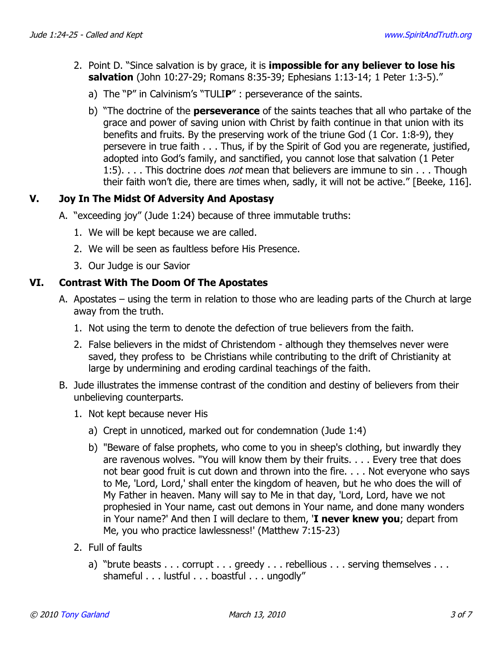- 2. Point D. "Since salvation is by grace, it is **impossible for any believer to lose his salvation** (John 10:27-29; Romans 8:35-39; Ephesians 1:13-14; 1 Peter 1:3-5)."
	- a) The "P" in Calvinism's "TULI**P**" : perseverance of the saints.
	- b) "The doctrine of the **perseverance** of the saints teaches that all who partake of the grace and power of saving union with Christ by faith continue in that union with its benefits and fruits. By the preserving work of the triune God (1 Cor. 1:8-9), they persevere in true faith . . . Thus, if by the Spirit of God you are regenerate, justified, adopted into God's family, and sanctified, you cannot lose that salvation (1 Peter 1:5). . . . This doctrine does *not* mean that believers are immune to sin . . . Though their faith won't die, there are times when, sadly, it will not be active." [Beeke, 116].

## **V. Joy In The Midst Of Adversity And Apostasy**

- A. "exceeding joy" (Jude 1:24) because of three immutable truths:
	- 1. We will be kept because we are called.
	- 2. We will be seen as faultless before His Presence.
	- 3. Our Judge is our Savior

## **VI. Contrast With The Doom Of The Apostates**

- A. Apostates using the term in relation to those who are leading parts of the Church at large away from the truth.
	- 1. Not using the term to denote the defection of true believers from the faith.
	- 2. False believers in the midst of Christendom although they themselves never were saved, they profess to be Christians while contributing to the drift of Christianity at large by undermining and eroding cardinal teachings of the faith.
- B. Jude illustrates the immense contrast of the condition and destiny of believers from their unbelieving counterparts.
	- 1. Not kept because never His
		- a) Crept in unnoticed, marked out for condemnation (Jude 1:4)
		- b) "Beware of false prophets, who come to you in sheep's clothing, but inwardly they are ravenous wolves. "You will know them by their fruits. . . . Every tree that does not bear good fruit is cut down and thrown into the fire. . . . Not everyone who says to Me, 'Lord, Lord,' shall enter the kingdom of heaven, but he who does the will of My Father in heaven. Many will say to Me in that day, 'Lord, Lord, have we not prophesied in Your name, cast out demons in Your name, and done many wonders in Your name?' And then I will declare to them, '**I never knew you**; depart from Me, you who practice lawlessness!' (Matthew 7:15-23)
	- 2. Full of faults
		- a) "brute beasts . . . corrupt . . . greedy . . . rebellious . . . serving themselves . . . shameful . . . lustful . . . boastful . . . ungodly"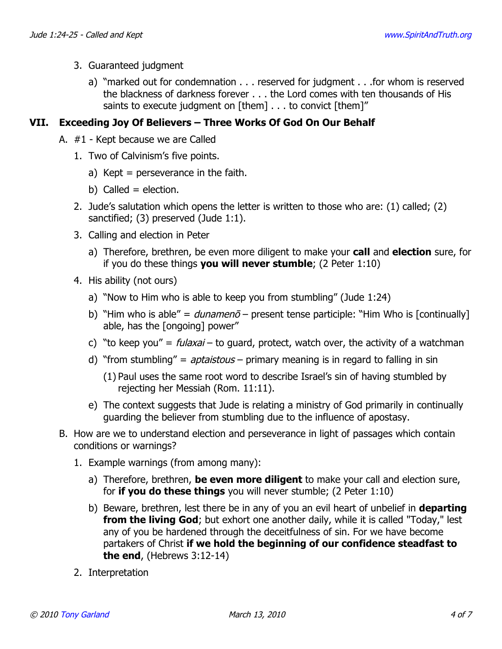- 3. Guaranteed judgment
	- a) "marked out for condemnation . . . reserved for judgment . . .for whom is reserved the blackness of darkness forever . . . the Lord comes with ten thousands of His saints to execute judgment on [them] . . . to convict [them]"

## **VII. Exceeding Joy Of Believers – Three Works Of God On Our Behalf**

- A. #1 Kept because we are Called
	- 1. Two of Calvinism's five points.
		- a) Kept = perseverance in the faith.
		- b) Called  $=$  election.
	- 2. Jude's salutation which opens the letter is written to those who are: (1) called; (2) sanctified; (3) preserved (Jude 1:1).
	- 3. Calling and election in Peter
		- a) Therefore, brethren, be even more diligent to make your **call** and **election** sure, for if you do these things **you will never stumble**; (2 Peter 1:10)
	- 4. His ability (not ours)
		- a) "Now to Him who is able to keep you from stumbling" (Jude 1:24)
		- b) "Him who is able" =  $d$ unamen $\bar{o}$  present tense participle: "Him Who is [continually] able, has the [ongoing] power"
		- c) "to keep you" =  $fulaxai$  to guard, protect, watch over, the activity of a watchman
		- d) "from stumbling" =  $aptaistous primary$  meaning is in regard to falling in sin
			- (1) Paul uses the same root word to describe Israel's sin of having stumbled by rejecting her Messiah (Rom. 11:11).
		- e) The context suggests that Jude is relating a ministry of God primarily in continually guarding the believer from stumbling due to the influence of apostasy.
- B. How are we to understand election and perseverance in light of passages which contain conditions or warnings?
	- 1. Example warnings (from among many):
		- a) Therefore, brethren, **be even more diligent** to make your call and election sure, for **if you do these things** you will never stumble; (2 Peter 1:10)
		- b) Beware, brethren, lest there be in any of you an evil heart of unbelief in **departing from the living God**; but exhort one another daily, while it is called "Today," lest any of you be hardened through the deceitfulness of sin. For we have become partakers of Christ **if we hold the beginning of our confidence steadfast to the end**, (Hebrews 3:12-14)
	- 2. Interpretation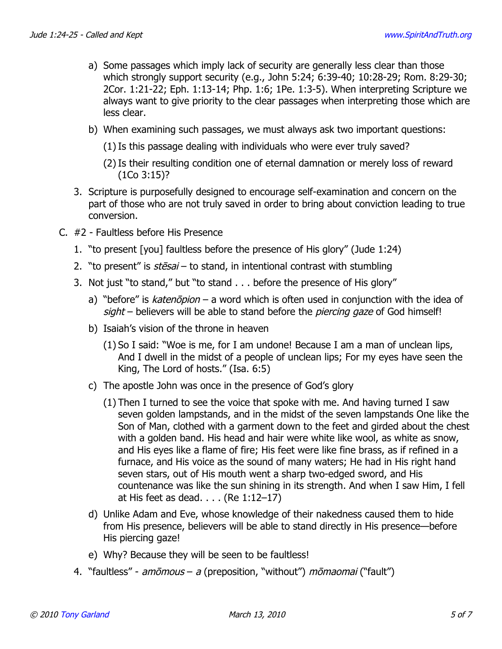- a) Some passages which imply lack of security are generally less clear than those which strongly support security (e.g., John 5:24; 6:39-40; 10:28-29; Rom. 8:29-30; 2Cor. 1:21-22; Eph. 1:13-14; Php. 1:6; 1Pe. 1:3-5). When interpreting Scripture we always want to give priority to the clear passages when interpreting those which are less clear.
- b) When examining such passages, we must always ask two important questions:
	- (1) Is this passage dealing with individuals who were ever truly saved?
	- (2) Is their resulting condition one of eternal damnation or merely loss of reward (1Co 3:15)?
- 3. Scripture is purposefully designed to encourage self-examination and concern on the part of those who are not truly saved in order to bring about conviction leading to true conversion.
- C. #2 Faultless before His Presence
	- 1. "to present [you] faultless before the presence of His glory" (Jude 1:24)
	- 2. "to present" is  $st\bar{e} s a i -$  to stand, in intentional contrast with stumbling
	- 3. Not just "to stand," but "to stand . . . before the presence of His glory"
		- a) "before" is katenopion a word which is often used in conjunction with the idea of sight - believers will be able to stand before the piercing gaze of God himself!
		- b) Isaiah's vision of the throne in heaven
			- (1) So I said: "Woe is me, for I am undone! Because I am a man of unclean lips, And I dwell in the midst of a people of unclean lips; For my eyes have seen the King, The Lord of hosts." (Isa. 6:5)
		- c) The apostle John was once in the presence of God's glory
			- (1) Then I turned to see the voice that spoke with me. And having turned I saw seven golden lampstands, and in the midst of the seven lampstands One like the Son of Man, clothed with a garment down to the feet and girded about the chest with a golden band. His head and hair were white like wool, as white as snow, and His eyes like a flame of fire; His feet were like fine brass, as if refined in a furnace, and His voice as the sound of many waters; He had in His right hand seven stars, out of His mouth went a sharp two-edged sword, and His countenance was like the sun shining in its strength. And when I saw Him, I fell at His feet as dead. . . . (Re 1:12–17)
		- d) Unlike Adam and Eve, whose knowledge of their nakedness caused them to hide from His presence, believers will be able to stand directly in His presence—before His piercing gaze!
		- e) Why? Because they will be seen to be faultless!
	- 4. "faultless" amomous a (preposition, "without") momaomai ("fault")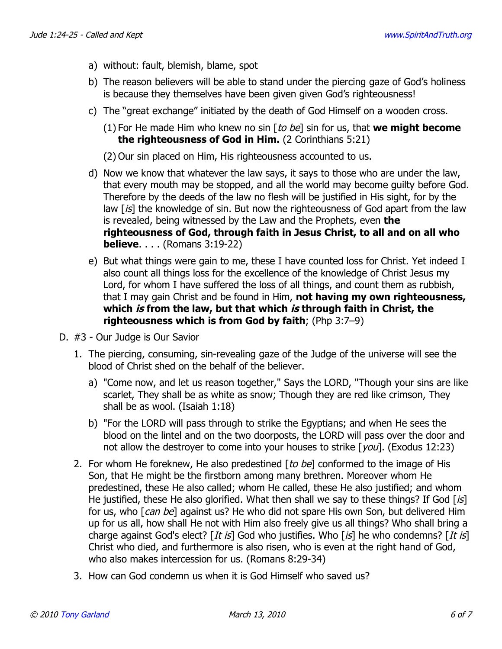- a) without: fault, blemish, blame, spot
- b) The reason believers will be able to stand under the piercing gaze of God's holiness is because they themselves have been given given God's righteousness!
- c) The "great exchange" initiated by the death of God Himself on a wooden cross.
	- (1) For He made Him who knew no sin [to be] sin for us, that **we might become the righteousness of God in Him.** (2 Corinthians 5:21)

(2) Our sin placed on Him, His righteousness accounted to us.

- d) Now we know that whatever the law says, it says to those who are under the law, that every mouth may be stopped, and all the world may become guilty before God. Therefore by the deeds of the law no flesh will be justified in His sight, for by the law  $[is]$  the knowledge of sin. But now the righteousness of God apart from the law is revealed, being witnessed by the Law and the Prophets, even **the righteousness of God, through faith in Jesus Christ, to all and on all who believe**. . . . (Romans 3:19-22)
- e) But what things were gain to me, these I have counted loss for Christ. Yet indeed I also count all things loss for the excellence of the knowledge of Christ Jesus my Lord, for whom I have suffered the loss of all things, and count them as rubbish, that I may gain Christ and be found in Him, **not having my own righteousness, which is from the law, but that which is through faith in Christ, the righteousness which is from God by faith**; (Php 3:7–9)
- D. #3 Our Judge is Our Savior
	- 1. The piercing, consuming, sin-revealing gaze of the Judge of the universe will see the blood of Christ shed on the behalf of the believer.
		- a) "Come now, and let us reason together," Says the LORD, "Though your sins are like scarlet, They shall be as white as snow; Though they are red like crimson, They shall be as wool. (Isaiah 1:18)
		- b) "For the LORD will pass through to strike the Egyptians; and when He sees the blood on the lintel and on the two doorposts, the LORD will pass over the door and not allow the destroyer to come into your houses to strike [you]. (Exodus 12:23)
	- 2. For whom He foreknew, He also predestined  $[to be]$  conformed to the image of His Son, that He might be the firstborn among many brethren. Moreover whom He predestined, these He also called; whom He called, these He also justified; and whom He justified, these He also glorified. What then shall we say to these things? If God  $\lceil i \mathcal{S} \rceil$ for us, who [can be] against us? He who did not spare His own Son, but delivered Him up for us all, how shall He not with Him also freely give us all things? Who shall bring a charge against God's elect?  $[It\; is]$  God who justifies. Who  $[s]$  he who condemns?  $[It\; is]$ Christ who died, and furthermore is also risen, who is even at the right hand of God, who also makes intercession for us. (Romans 8:29-34)
	- 3. How can God condemn us when it is God Himself who saved us?